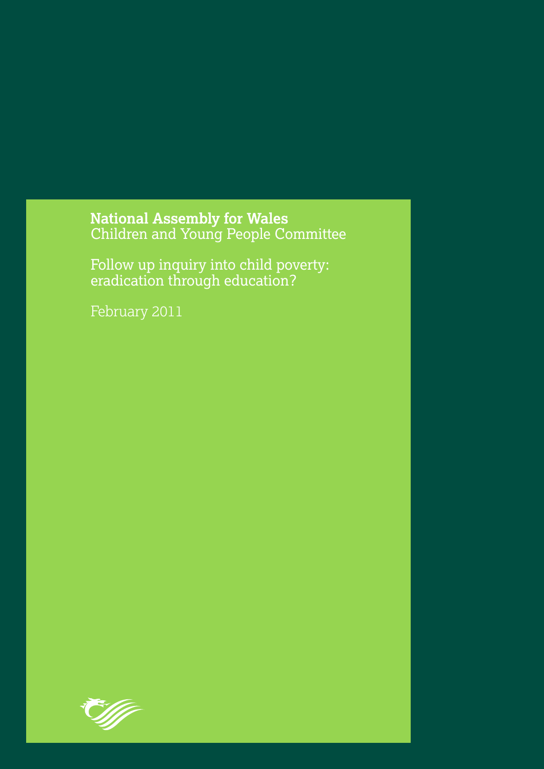National Assembly for Wales<br>Children and Young People Committee

Follow up inquiry into child poverty: eradication through education?

February 2011

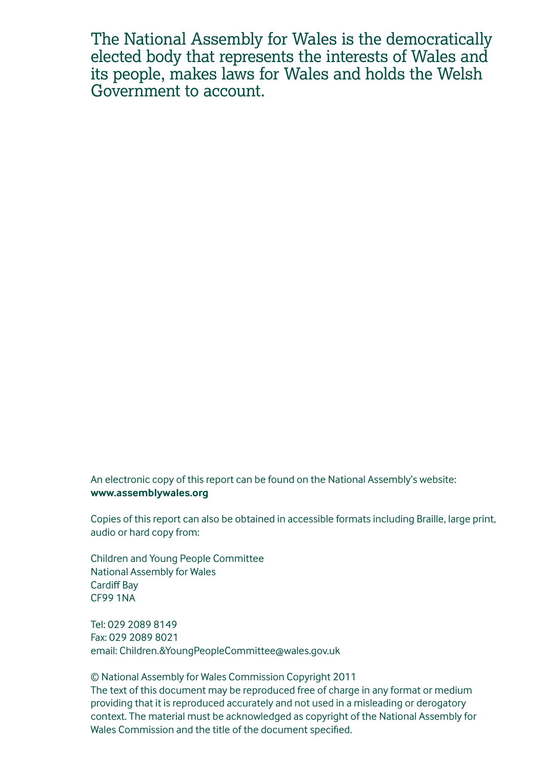The National Assembly for Wales is the democratically elected body that represents the interests of Wales and its people, makes laws for Wales and holds the Welsh Government to account.

An electronic copy of this report can be found on the National Assembly's website: **www.assemblywales.org**

Copies of this report can also be obtained in accessible formats including Braille, large print, audio or hard copy from:

Children and Young People Committee National Assembly for Wales Cardiff Bay CF99 1NA

Tel: 029 2089 8149 Fax: 029 2089 8021 email: Children.&YoungPeopleCommittee@wales.gov.uk

© National Assembly for Wales Commission Copyright 2011 The text of this document may be reproduced free of charge in any format or medium providing that it is reproduced accurately and not used in a misleading or derogatory context. The material must be acknowledged as copyright of the National Assembly for Wales Commission and the title of the document specified.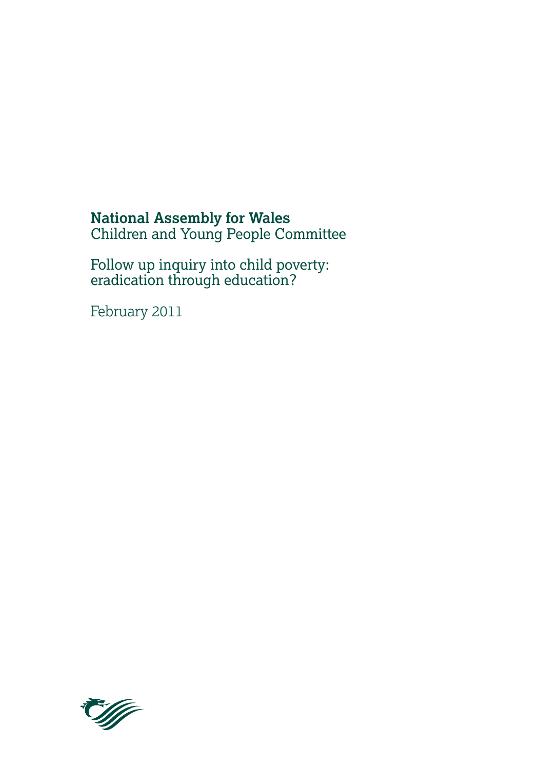## **National Assembly for Wales** Children and Young People Committee

Follow up inquiry into child poverty: eradication through education?

February 2011

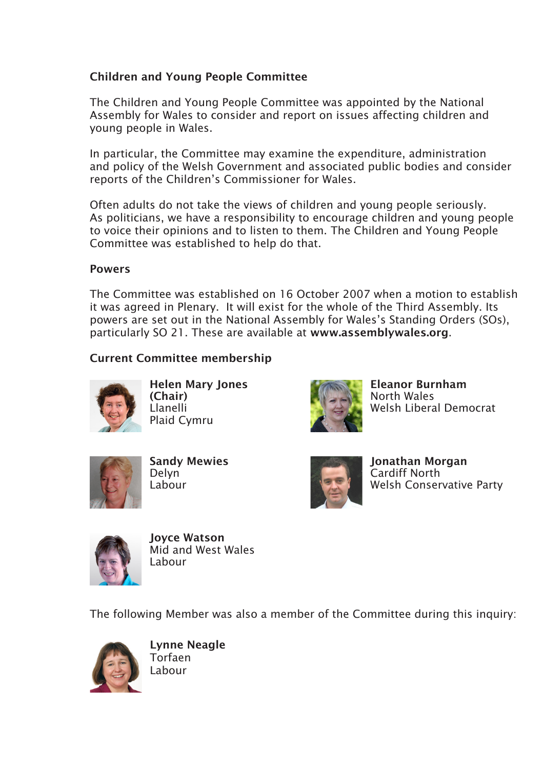#### Children and Young People Committee

The Children and Young People Committee was appointed by the National Assembly for Wales to consider and report on issues affecting children and young people in Wales.

In particular, the Committee may examine the expenditure, administration and policy of the Welsh Government and associated public bodies and consider reports of the Children's Commissioner for Wales.

Often adults do not take the views of children and young people seriously. As politicians, we have a responsibility to encourage children and young people to voice their opinions and to listen to them. The Children and Young People Committee was established to help do that.

#### **Powers**

The Committee was established on 16 October 2007 when a motion to establish it was agreed in Plenary. It will exist for the whole of the Third Assembly. Its powers are set out in the National Assembly for Wales's Standing Orders (SOs), particularly SO 21. These are available at www.assemblywales.org.

### Current Committee membership



Helen Mary Jones (Chair) Llanelli Plaid Cymru



Eleanor Burnham North Wales Welsh Liberal Democrat



Sandy Mewies Delyn Labour



Jonathan Morgan Cardiff North Welsh Conservative Party



Joyce Watson Mid and West Wales Labour

The following Member was also a member of the Committee during this inquiry:



Lynne Neagle Torfaen Labour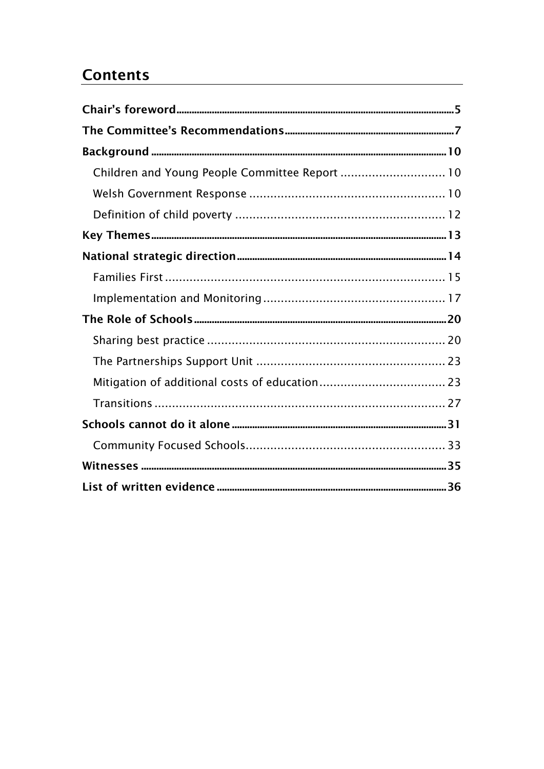# **Contents**

| Children and Young People Committee Report  10 |  |
|------------------------------------------------|--|
|                                                |  |
|                                                |  |
|                                                |  |
|                                                |  |
|                                                |  |
|                                                |  |
|                                                |  |
|                                                |  |
|                                                |  |
|                                                |  |
|                                                |  |
|                                                |  |
|                                                |  |
|                                                |  |
|                                                |  |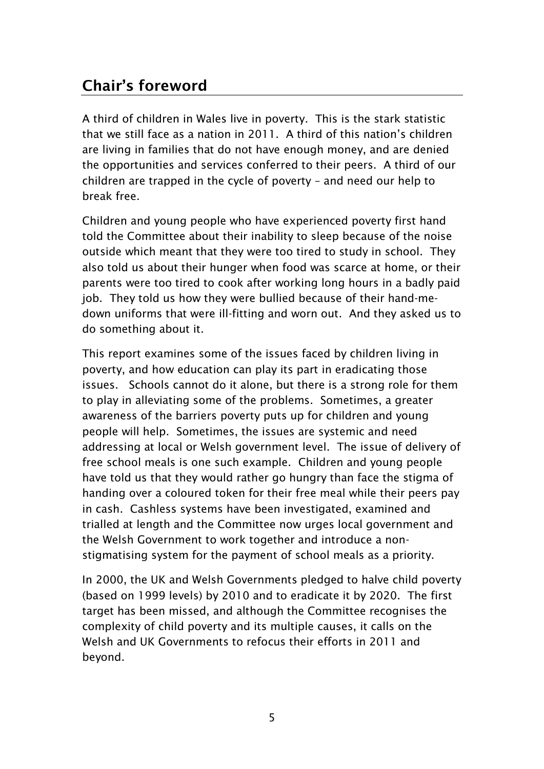# <span id="page-6-0"></span>**Chair's foreword**

A third of children in Wales live in poverty. This is the stark statistic that we still face as a nation in 2011. A third of this nation"s children are living in families that do not have enough money, and are denied the opportunities and services conferred to their peers. A third of our children are trapped in the cycle of poverty – and need our help to break free.

Children and young people who have experienced poverty first hand told the Committee about their inability to sleep because of the noise outside which meant that they were too tired to study in school. They also told us about their hunger when food was scarce at home, or their parents were too tired to cook after working long hours in a badly paid job. They told us how they were bullied because of their hand-medown uniforms that were ill-fitting and worn out. And they asked us to do something about it.

This report examines some of the issues faced by children living in poverty, and how education can play its part in eradicating those issues. Schools cannot do it alone, but there is a strong role for them to play in alleviating some of the problems. Sometimes, a greater awareness of the barriers poverty puts up for children and young people will help. Sometimes, the issues are systemic and need addressing at local or Welsh government level. The issue of delivery of free school meals is one such example. Children and young people have told us that they would rather go hungry than face the stigma of handing over a coloured token for their free meal while their peers pay in cash. Cashless systems have been investigated, examined and trialled at length and the Committee now urges local government and the Welsh Government to work together and introduce a nonstigmatising system for the payment of school meals as a priority.

In 2000, the UK and Welsh Governments pledged to halve child poverty (based on 1999 levels) by 2010 and to eradicate it by 2020. The first target has been missed, and although the Committee recognises the complexity of child poverty and its multiple causes, it calls on the Welsh and UK Governments to refocus their efforts in 2011 and beyond.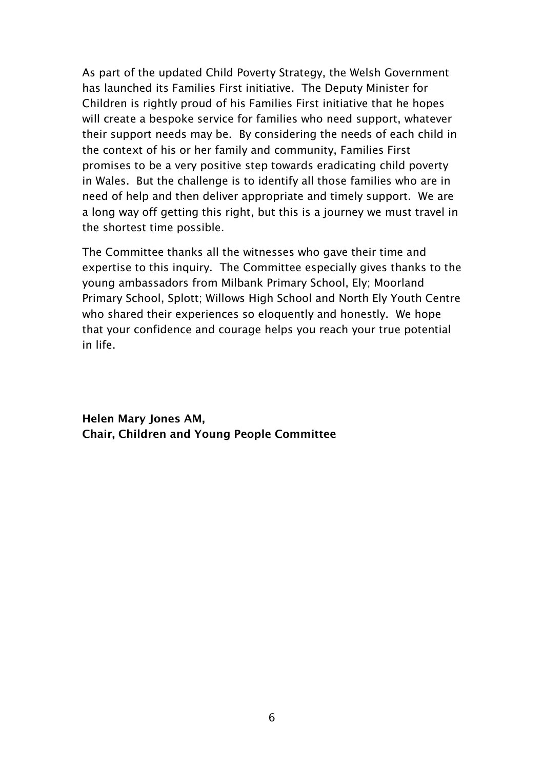As part of the updated Child Poverty Strategy, the Welsh Government has launched its Families First initiative. The Deputy Minister for Children is rightly proud of his Families First initiative that he hopes will create a bespoke service for families who need support, whatever their support needs may be. By considering the needs of each child in the context of his or her family and community, Families First promises to be a very positive step towards eradicating child poverty in Wales. But the challenge is to identify all those families who are in need of help and then deliver appropriate and timely support. We are a long way off getting this right, but this is a journey we must travel in the shortest time possible.

The Committee thanks all the witnesses who gave their time and expertise to this inquiry. The Committee especially gives thanks to the young ambassadors from Milbank Primary School, Ely; Moorland Primary School, Splott; Willows High School and North Ely Youth Centre who shared their experiences so eloquently and honestly. We hope that your confidence and courage helps you reach your true potential in life.

**Helen Mary Jones AM, Chair, Children and Young People Committee**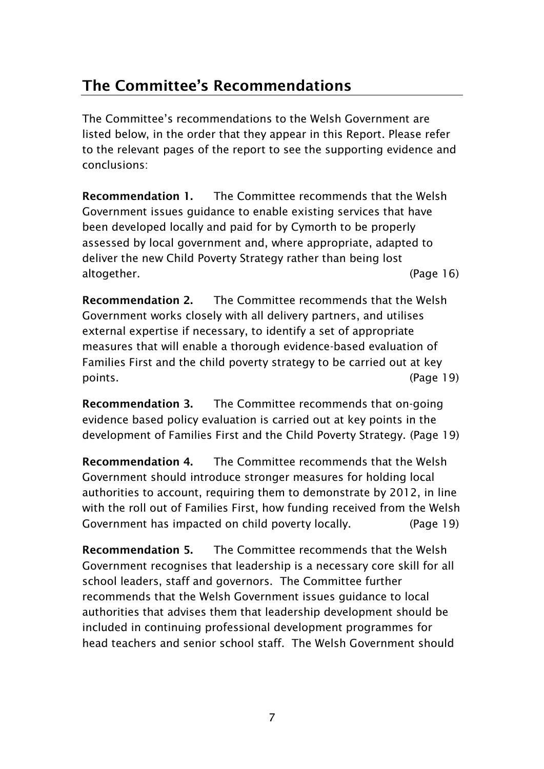# <span id="page-8-0"></span>**The Committee's Recommendations**

The Committee"s recommendations to the Welsh Government are listed below, in the order that they appear in this Report. Please refer to the relevant pages of the report to see the supporting evidence and conclusions:

**Recommendation 1.** The Committee recommends that the Welsh Government issues guidance to enable existing services that have been developed locally and paid for by Cymorth to be properly assessed by local government and, where appropriate, adapted to deliver the new Child Poverty Strategy rather than being lost altogether. (Page 16)

**Recommendation 2.** The Committee recommends that the Welsh Government works closely with all delivery partners, and utilises external expertise if necessary, to identify a set of appropriate measures that will enable a thorough evidence-based evaluation of Families First and the child poverty strategy to be carried out at key points. (Page 19)

**Recommendation 3.** The Committee recommends that on-going evidence based policy evaluation is carried out at key points in the development of Families First and the Child Poverty Strategy. (Page 19)

**Recommendation 4.** The Committee recommends that the Welsh Government should introduce stronger measures for holding local authorities to account, requiring them to demonstrate by 2012, in line with the roll out of Families First, how funding received from the Welsh Government has impacted on child poverty locally. (Page 19)

**Recommendation 5.** The Committee recommends that the Welsh Government recognises that leadership is a necessary core skill for all school leaders, staff and governors. The Committee further recommends that the Welsh Government issues guidance to local authorities that advises them that leadership development should be included in continuing professional development programmes for head teachers and senior school staff. The Welsh Government should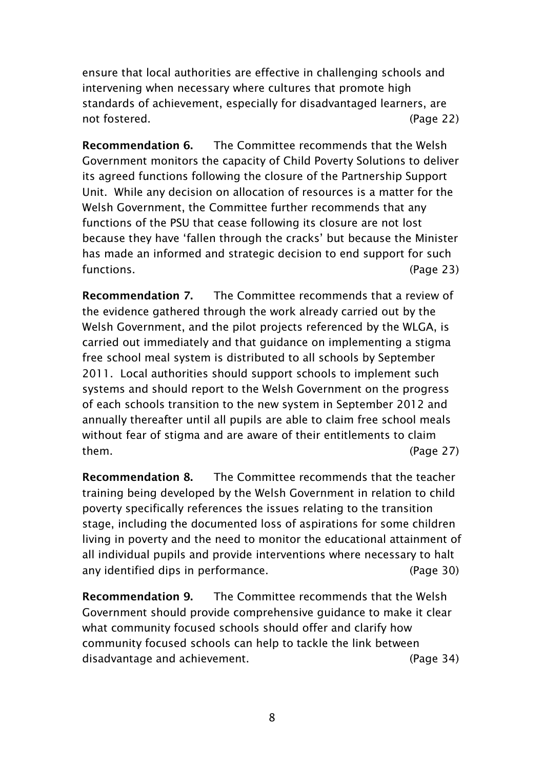ensure that local authorities are effective in challenging schools and intervening when necessary where cultures that promote high standards of achievement, especially for disadvantaged learners, are not fostered. (Page 22)

**Recommendation 6.** The Committee recommends that the Welsh Government monitors the capacity of Child Poverty Solutions to deliver its agreed functions following the closure of the Partnership Support Unit. While any decision on allocation of resources is a matter for the Welsh Government, the Committee further recommends that any functions of the PSU that cease following its closure are not lost because they have "fallen through the cracks" but because the Minister has made an informed and strategic decision to end support for such functions. (Page 23)

**Recommendation 7.** The Committee recommends that a review of the evidence gathered through the work already carried out by the Welsh Government, and the pilot projects referenced by the WLGA, is carried out immediately and that guidance on implementing a stigma free school meal system is distributed to all schools by September 2011. Local authorities should support schools to implement such systems and should report to the Welsh Government on the progress of each schools transition to the new system in September 2012 and annually thereafter until all pupils are able to claim free school meals without fear of stigma and are aware of their entitlements to claim them. (Page 27)

**Recommendation 8.** The Committee recommends that the teacher training being developed by the Welsh Government in relation to child poverty specifically references the issues relating to the transition stage, including the documented loss of aspirations for some children living in poverty and the need to monitor the educational attainment of all individual pupils and provide interventions where necessary to halt any identified dips in performance. (Page 30)

**Recommendation 9.** The Committee recommends that the Welsh Government should provide comprehensive guidance to make it clear what community focused schools should offer and clarify how community focused schools can help to tackle the link between disadvantage and achievement. (Page 34)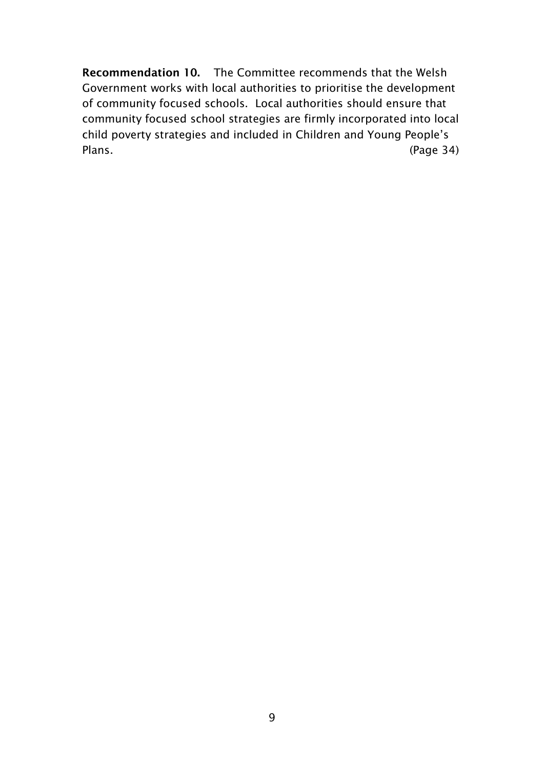**Recommendation 10.** The Committee recommends that the Welsh Government works with local authorities to prioritise the development of community focused schools. Local authorities should ensure that community focused school strategies are firmly incorporated into local child poverty strategies and included in Children and Young People"s Plans. (Page 34)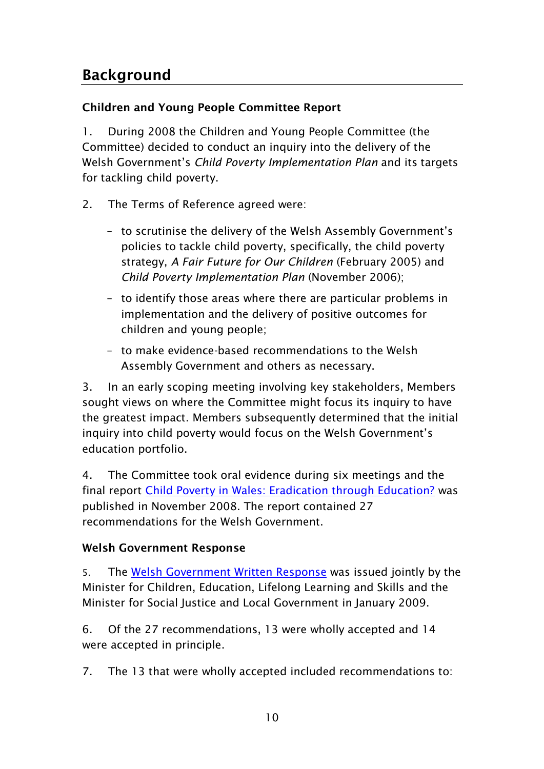### <span id="page-11-1"></span><span id="page-11-0"></span>**Children and Young People Committee Report**

1. During 2008 the Children and Young People Committee (the Committee) decided to conduct an inquiry into the delivery of the Welsh Government"s *Child Poverty Implementation Plan* and its targets for tackling child poverty.

- 2. The Terms of Reference agreed were:
	- to scrutinise the delivery of the Welsh Assembly Government"s policies to tackle child poverty, specifically, the child poverty strategy, *A Fair Future for Our Children* (February 2005) and *Child Poverty Implementation Plan* (November 2006);
	- to identify those areas where there are particular problems in implementation and the delivery of positive outcomes for children and young people;
	- to make evidence-based recommendations to the Welsh Assembly Government and others as necessary.

3. In an early scoping meeting involving key stakeholders, Members sought views on where the Committee might focus its inquiry to have the greatest impact. Members subsequently determined that the initial inquiry into child poverty would focus on the Welsh Government's education portfolio.

4. The Committee took oral evidence during six meetings and the final report [Child Poverty in Wales: Eradication through Education?](http://www.assemblywales.org/cyp_3__child_poverty_report_eng__2_.pdf) was published in November 2008. The report contained 27 recommendations for the Welsh Government.

### <span id="page-11-2"></span>**Welsh Government Response**

5. The [Welsh Government Written Response](http://www.assemblywales.org/welsh_assembly_government_response_-_cyp_child_poverty_report_e.pdf) was issued jointly by the Minister for Children, Education, Lifelong Learning and Skills and the Minister for Social Justice and Local Government in January 2009.

6. Of the 27 recommendations, 13 were wholly accepted and 14 were accepted in principle.

7. The 13 that were wholly accepted included recommendations to: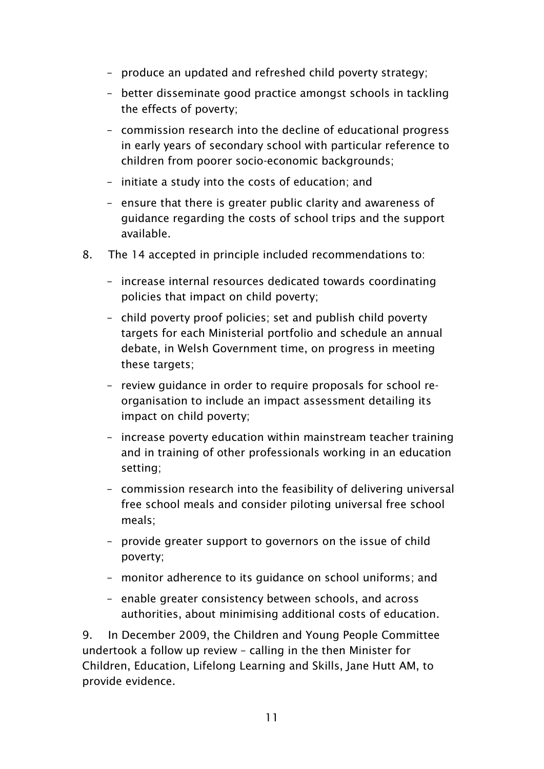- produce an updated and refreshed child poverty strategy;
- better disseminate good practice amongst schools in tackling the effects of poverty;
- commission research into the decline of educational progress in early years of secondary school with particular reference to children from poorer socio-economic backgrounds;
- initiate a study into the costs of education; and
- ensure that there is greater public clarity and awareness of guidance regarding the costs of school trips and the support available.
- 8. The 14 accepted in principle included recommendations to:
	- increase internal resources dedicated towards coordinating policies that impact on child poverty;
	- child poverty proof policies; set and publish child poverty targets for each Ministerial portfolio and schedule an annual debate, in Welsh Government time, on progress in meeting these targets;
	- review guidance in order to require proposals for school reorganisation to include an impact assessment detailing its impact on child poverty;
	- increase poverty education within mainstream teacher training and in training of other professionals working in an education setting;
	- commission research into the feasibility of delivering universal free school meals and consider piloting universal free school meals;
	- provide greater support to governors on the issue of child poverty;
	- monitor adherence to its guidance on school uniforms; and
	- enable greater consistency between schools, and across authorities, about minimising additional costs of education.

9. In December 2009, the Children and Young People Committee undertook a follow up review – calling in the then Minister for Children, Education, Lifelong Learning and Skills, Jane Hutt AM, to provide evidence.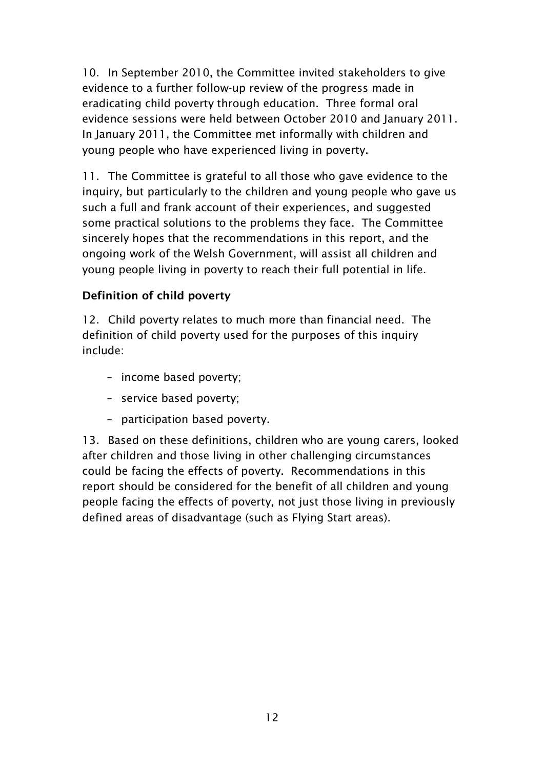10. In September 2010, the Committee invited stakeholders to give evidence to a further follow-up review of the progress made in eradicating child poverty through education. Three formal oral evidence sessions were held between October 2010 and January 2011. In January 2011, the Committee met informally with children and young people who have experienced living in poverty.

11. The Committee is grateful to all those who gave evidence to the inquiry, but particularly to the children and young people who gave us such a full and frank account of their experiences, and suggested some practical solutions to the problems they face. The Committee sincerely hopes that the recommendations in this report, and the ongoing work of the Welsh Government, will assist all children and young people living in poverty to reach their full potential in life.

### <span id="page-13-0"></span>**Definition of child poverty**

12. Child poverty relates to much more than financial need. The definition of child poverty used for the purposes of this inquiry include:

- income based poverty;
- service based poverty;
- participation based poverty.

<span id="page-13-1"></span>13. Based on these definitions, children who are young carers, looked after children and those living in other challenging circumstances could be facing the effects of poverty. Recommendations in this report should be considered for the benefit of all children and young people facing the effects of poverty, not just those living in previously defined areas of disadvantage (such as Flying Start areas).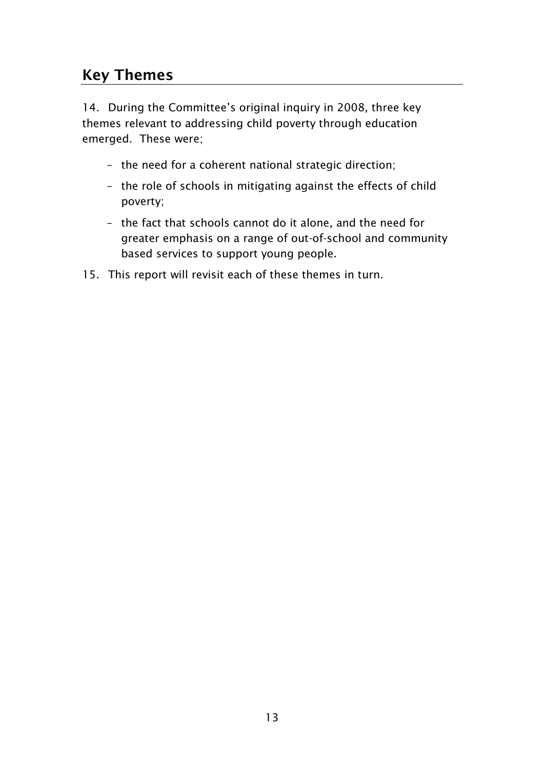# **Key Themes**

14. During the Committee's original inquiry in 2008, three key themes relevant to addressing child poverty through education emerged. These were;

- the need for a coherent national strategic direction;
- the role of schools in mitigating against the effects of child poverty;
- the fact that schools cannot do it alone, and the need for greater emphasis on a range of out-of-school and community based services to support young people.
- <span id="page-14-0"></span>15. This report will revisit each of these themes in turn.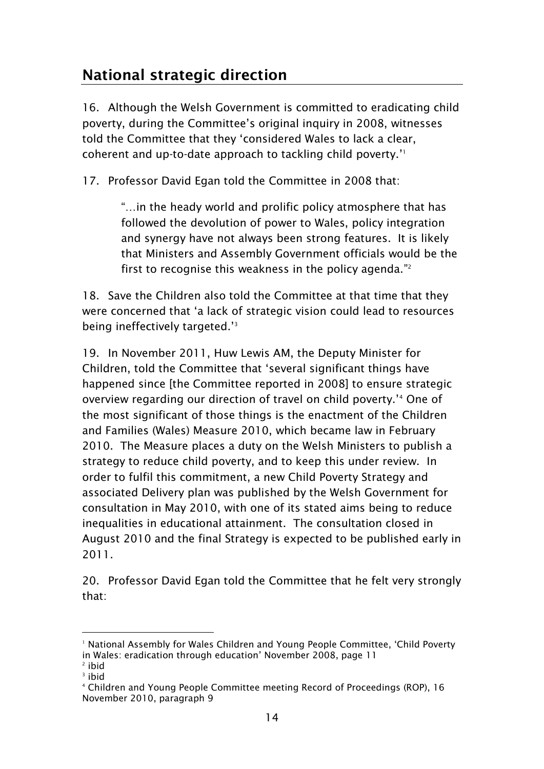# **National strategic direction**

16. Although the Welsh Government is committed to eradicating child poverty, during the Committee's original inquiry in 2008, witnesses told the Committee that they "considered Wales to lack a clear, coherent and up-to-date approach to tackling child poverty." 1

17. Professor David Egan told the Committee in 2008 that:

"…in the heady world and prolific policy atmosphere that has followed the devolution of power to Wales, policy integration and synergy have not always been strong features. It is likely that Ministers and Assembly Government officials would be the first to recognise this weakness in the policy agenda." 2

18. Save the Children also told the Committee at that time that they were concerned that "a lack of strategic vision could lead to resources being ineffectively targeted."<sup>3</sup>

19. In November 2011, Huw Lewis AM, the Deputy Minister for Children, told the Committee that "several significant things have happened since [the Committee reported in 2008] to ensure strategic overview regarding our direction of travel on child poverty."<sup>4</sup> One of the most significant of those things is the enactment of the Children and Families (Wales) Measure 2010, which became law in February 2010. The Measure places a duty on the Welsh Ministers to publish a strategy to reduce child poverty, and to keep this under review. In order to fulfil this commitment, a new Child Poverty Strategy and associated Delivery plan was published by the Welsh Government for consultation in May 2010, with one of its stated aims being to reduce inequalities in educational attainment. The consultation closed in August 2010 and the final Strategy is expected to be published early in 2011.

20. Professor David Egan told the Committee that he felt very strongly that:

<sup>&</sup>lt;sup>1</sup> National Assembly for Wales Children and Young People Committee, 'Child Poverty in Wales: eradication through education" November 2008, page 11

<sup>2</sup> ibid

<sup>3</sup> ibid

<sup>4</sup> Children and Young People Committee meeting Record of Proceedings (ROP), 16 November 2010, paragraph 9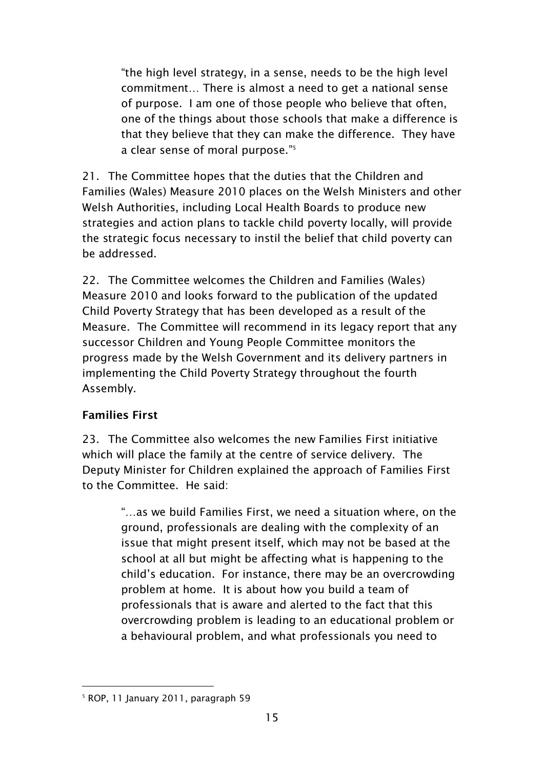"the high level strategy, in a sense, needs to be the high level commitment… There is almost a need to get a national sense of purpose. I am one of those people who believe that often, one of the things about those schools that make a difference is that they believe that they can make the difference. They have a clear sense of moral purpose." 5

21. The Committee hopes that the duties that the Children and Families (Wales) Measure 2010 places on the Welsh Ministers and other Welsh Authorities, including Local Health Boards to produce new strategies and action plans to tackle child poverty locally, will provide the strategic focus necessary to instil the belief that child poverty can be addressed.

22. The Committee welcomes the Children and Families (Wales) Measure 2010 and looks forward to the publication of the updated Child Poverty Strategy that has been developed as a result of the Measure. The Committee will recommend in its legacy report that any successor Children and Young People Committee monitors the progress made by the Welsh Government and its delivery partners in implementing the Child Poverty Strategy throughout the fourth Assembly.

### <span id="page-16-0"></span>**Families First**

23. The Committee also welcomes the new Families First initiative which will place the family at the centre of service delivery. The Deputy Minister for Children explained the approach of Families First to the Committee. He said:

> "…as we build Families First, we need a situation where, on the ground, professionals are dealing with the complexity of an issue that might present itself, which may not be based at the school at all but might be affecting what is happening to the child"s education. For instance, there may be an overcrowding problem at home. It is about how you build a team of professionals that is aware and alerted to the fact that this overcrowding problem is leading to an educational problem or a behavioural problem, and what professionals you need to

<sup>-</sup><sup>5</sup> ROP, 11 January 2011, paragraph 59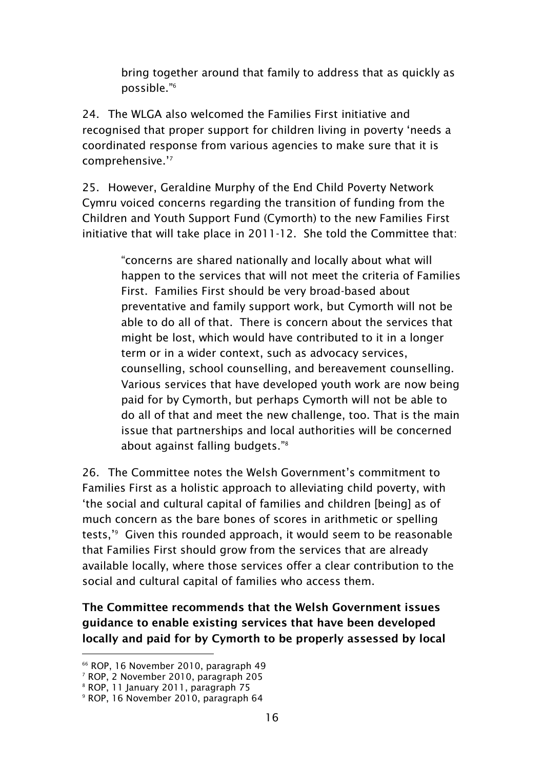bring together around that family to address that as quickly as possible." 6

24. The WLGA also welcomed the Families First initiative and recognised that proper support for children living in poverty 'needs a coordinated response from various agencies to make sure that it is comprehensive."<sup>7</sup>

25. However, Geraldine Murphy of the End Child Poverty Network Cymru voiced concerns regarding the transition of funding from the Children and Youth Support Fund (Cymorth) to the new Families First initiative that will take place in 2011-12. She told the Committee that:

> "concerns are shared nationally and locally about what will happen to the services that will not meet the criteria of Families First. Families First should be very broad-based about preventative and family support work, but Cymorth will not be able to do all of that. There is concern about the services that might be lost, which would have contributed to it in a longer term or in a wider context, such as advocacy services, counselling, school counselling, and bereavement counselling. Various services that have developed youth work are now being paid for by Cymorth, but perhaps Cymorth will not be able to do all of that and meet the new challenge, too. That is the main issue that partnerships and local authorities will be concerned about against falling budgets." 8

26. The Committee notes the Welsh Government"s commitment to Families First as a holistic approach to alleviating child poverty, with "the social and cultural capital of families and children [being] as of much concern as the bare bones of scores in arithmetic or spelling tests," 9 Given this rounded approach, it would seem to be reasonable that Families First should grow from the services that are already available locally, where those services offer a clear contribution to the social and cultural capital of families who access them.

**The Committee recommends that the Welsh Government issues guidance to enable existing services that have been developed locally and paid for by Cymorth to be properly assessed by local** 

<sup>66</sup> ROP, 16 November 2010, paragraph 49

<sup>7</sup> ROP, 2 November 2010, paragraph 205

<sup>8</sup> ROP, 11 January 2011, paragraph 75

<sup>9</sup> ROP, 16 November 2010, paragraph 64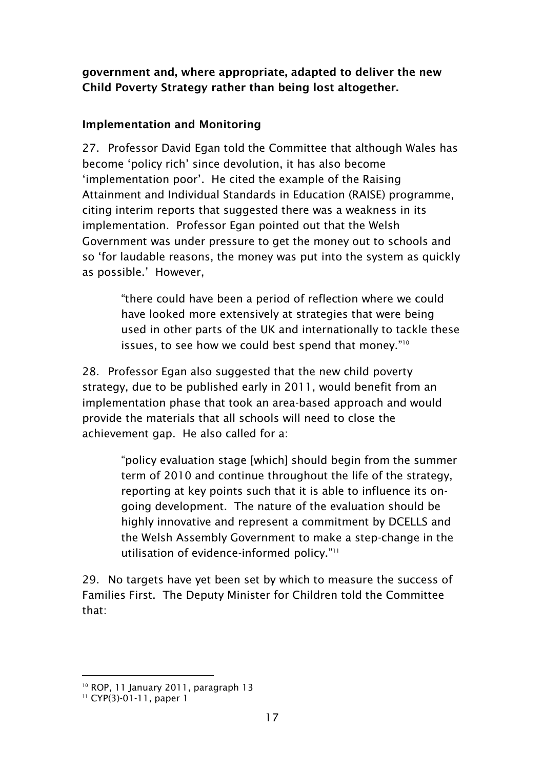**government and, where appropriate, adapted to deliver the new Child Poverty Strategy rather than being lost altogether.**

#### <span id="page-18-0"></span>**Implementation and Monitoring**

27. Professor David Egan told the Committee that although Wales has become "policy rich" since devolution, it has also become "implementation poor". He cited the example of the Raising Attainment and Individual Standards in Education (RAISE) programme, citing interim reports that suggested there was a weakness in its implementation. Professor Egan pointed out that the Welsh Government was under pressure to get the money out to schools and so "for laudable reasons, the money was put into the system as quickly as possible.' However,

> "there could have been a period of reflection where we could have looked more extensively at strategies that were being used in other parts of the UK and internationally to tackle these issues, to see how we could best spend that money."<sup>10</sup>

28. Professor Egan also suggested that the new child poverty strategy, due to be published early in 2011, would benefit from an implementation phase that took an area-based approach and would provide the materials that all schools will need to close the achievement gap. He also called for a:

> "policy evaluation stage [which] should begin from the summer term of 2010 and continue throughout the life of the strategy, reporting at key points such that it is able to influence its ongoing development. The nature of the evaluation should be highly innovative and represent a commitment by DCELLS and the Welsh Assembly Government to make a step-change in the utilisation of evidence-informed policy."<sup>11</sup>

29. No targets have yet been set by which to measure the success of Families First. The Deputy Minister for Children told the Committee that:

<sup>10</sup> ROP, 11 January 2011, paragraph 13

<sup>&</sup>lt;sup>11</sup> CYP(3)-01-11, paper 1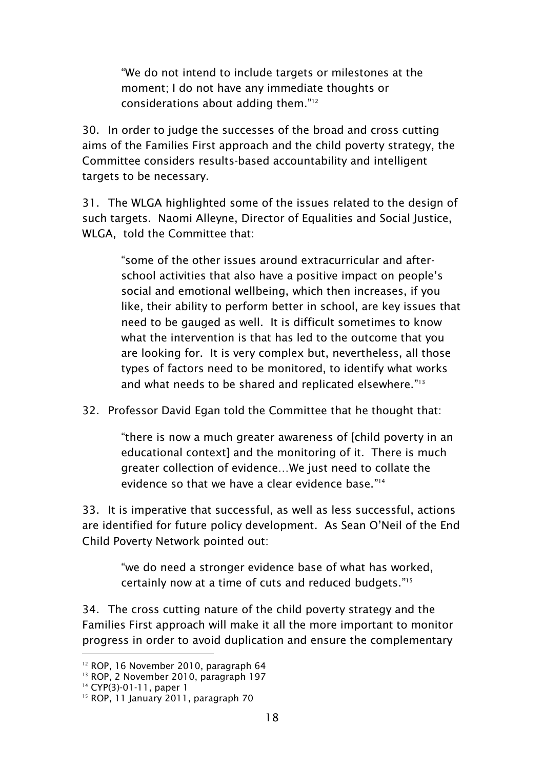"We do not intend to include targets or milestones at the moment; I do not have any immediate thoughts or considerations about adding them." 12

30. In order to judge the successes of the broad and cross cutting aims of the Families First approach and the child poverty strategy, the Committee considers results-based accountability and intelligent targets to be necessary.

31. The WLGA highlighted some of the issues related to the design of such targets. Naomi Alleyne, Director of Equalities and Social Justice, WLGA, told the Committee that:

> "some of the other issues around extracurricular and afterschool activities that also have a positive impact on people"s social and emotional wellbeing, which then increases, if you like, their ability to perform better in school, are key issues that need to be gauged as well. It is difficult sometimes to know what the intervention is that has led to the outcome that you are looking for. It is very complex but, nevertheless, all those types of factors need to be monitored, to identify what works and what needs to be shared and replicated elsewhere." 13

32. Professor David Egan told the Committee that he thought that:

"there is now a much greater awareness of [child poverty in an educational context] and the monitoring of it. There is much greater collection of evidence…We just need to collate the evidence so that we have a clear evidence base."<sup>14</sup>

33. It is imperative that successful, as well as less successful, actions are identified for future policy development. As Sean O"Neil of the End Child Poverty Network pointed out:

> "we do need a stronger evidence base of what has worked, certainly now at a time of cuts and reduced budgets." 15

34. The cross cutting nature of the child poverty strategy and the Families First approach will make it all the more important to monitor progress in order to avoid duplication and ensure the complementary

<sup>&</sup>lt;sup>12</sup> ROP, 16 November 2010, paragraph 64

<sup>&</sup>lt;sup>13</sup> ROP, 2 November 2010, paragraph 197

<sup>14</sup> CYP(3)-01-11, paper 1

<sup>&</sup>lt;sup>15</sup> ROP, 11 January 2011, paragraph 70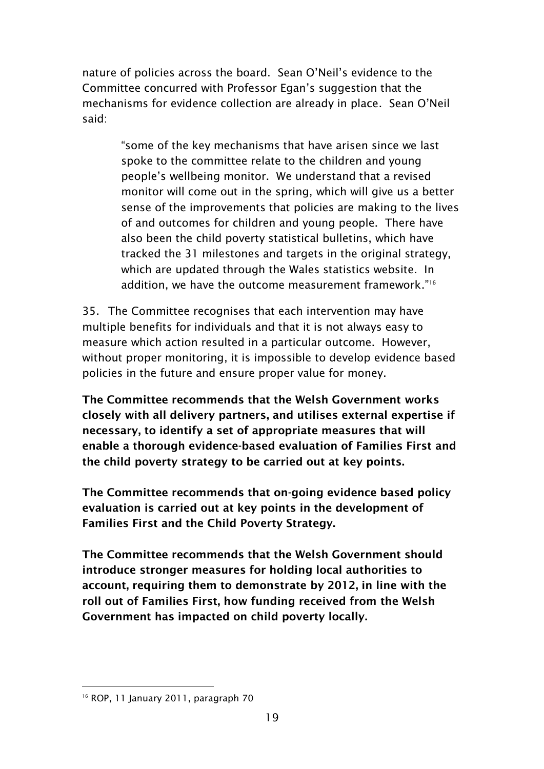nature of policies across the board. Sean O"Neil"s evidence to the Committee concurred with Professor Egan"s suggestion that the mechanisms for evidence collection are already in place. Sean O"Neil said:

> "some of the key mechanisms that have arisen since we last spoke to the committee relate to the children and young people"s wellbeing monitor. We understand that a revised monitor will come out in the spring, which will give us a better sense of the improvements that policies are making to the lives of and outcomes for children and young people. There have also been the child poverty statistical bulletins, which have tracked the 31 milestones and targets in the original strategy, which are updated through the Wales statistics website. In addition, we have the outcome measurement framework." 16

35. The Committee recognises that each intervention may have multiple benefits for individuals and that it is not always easy to measure which action resulted in a particular outcome. However, without proper monitoring, it is impossible to develop evidence based policies in the future and ensure proper value for money.

**The Committee recommends that the Welsh Government works closely with all delivery partners, and utilises external expertise if necessary, to identify a set of appropriate measures that will enable a thorough evidence-based evaluation of Families First and the child poverty strategy to be carried out at key points.**

**The Committee recommends that on-going evidence based policy evaluation is carried out at key points in the development of Families First and the Child Poverty Strategy.**

**The Committee recommends that the Welsh Government should introduce stronger measures for holding local authorities to account, requiring them to demonstrate by 2012, in line with the roll out of Families First, how funding received from the Welsh Government has impacted on child poverty locally.** 

<sup>-</sup><sup>16</sup> ROP, 11 January 2011, paragraph 70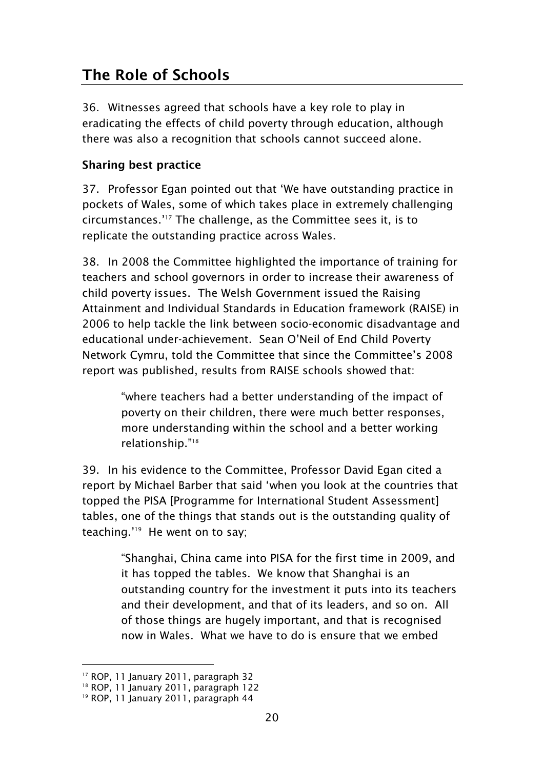# <span id="page-21-0"></span>**The Role of Schools**

36. Witnesses agreed that schools have a key role to play in eradicating the effects of child poverty through education, although there was also a recognition that schools cannot succeed alone.

#### <span id="page-21-1"></span>**Sharing best practice**

37. Professor Egan pointed out that "We have outstanding practice in pockets of Wales, some of which takes place in extremely challenging circumstances."<sup>17</sup> The challenge, as the Committee sees it, is to replicate the outstanding practice across Wales.

38. In 2008 the Committee highlighted the importance of training for teachers and school governors in order to increase their awareness of child poverty issues. The Welsh Government issued the Raising Attainment and Individual Standards in Education framework (RAISE) in 2006 to help tackle the link between socio-economic disadvantage and educational under-achievement. Sean O"Neil of End Child Poverty Network Cymru, told the Committee that since the Committee"s 2008 report was published, results from RAISE schools showed that:

> "where teachers had a better understanding of the impact of poverty on their children, there were much better responses, more understanding within the school and a better working relationship." 18

39. In his evidence to the Committee, Professor David Egan cited a report by Michael Barber that said "when you look at the countries that topped the PISA [Programme for International Student Assessment] tables, one of the things that stands out is the outstanding quality of teaching." 19 He went on to say;

> "Shanghai, China came into PISA for the first time in 2009, and it has topped the tables. We know that Shanghai is an outstanding country for the investment it puts into its teachers and their development, and that of its leaders, and so on. All of those things are hugely important, and that is recognised now in Wales. What we have to do is ensure that we embed

<sup>-</sup><sup>17</sup> ROP, 11 January 2011, paragraph 32

<sup>&</sup>lt;sup>18</sup> ROP, 11 January 2011, paragraph 122

<sup>&</sup>lt;sup>19</sup> ROP, 11 January 2011, paragraph 44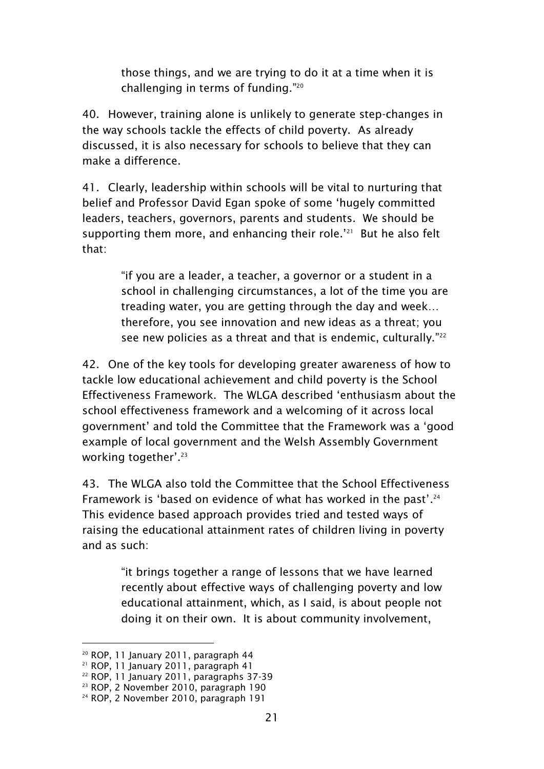those things, and we are trying to do it at a time when it is challenging in terms of funding." 20

40. However, training alone is unlikely to generate step-changes in the way schools tackle the effects of child poverty. As already discussed, it is also necessary for schools to believe that they can make a difference.

41. Clearly, leadership within schools will be vital to nurturing that belief and Professor David Egan spoke of some "hugely committed leaders, teachers, governors, parents and students. We should be supporting them more, and enhancing their role.<sup>'21</sup> But he also felt that:

> "if you are a leader, a teacher, a governor or a student in a school in challenging circumstances, a lot of the time you are treading water, you are getting through the day and week… therefore, you see innovation and new ideas as a threat; you see new policies as a threat and that is endemic, culturally."<sup>22</sup>

42. One of the key tools for developing greater awareness of how to tackle low educational achievement and child poverty is the School Effectiveness Framework. The WLGA described "enthusiasm about the school effectiveness framework and a welcoming of it across local government" and told the Committee that the Framework was a "good example of local government and the Welsh Assembly Government working together'.<sup>23</sup>

43. The WLGA also told the Committee that the School Effectiveness Framework is 'based on evidence of what has worked in the past'.<sup>24</sup> This evidence based approach provides tried and tested ways of raising the educational attainment rates of children living in poverty and as such:

> "it brings together a range of lessons that we have learned recently about effective ways of challenging poverty and low educational attainment, which, as I said, is about people not doing it on their own. It is about community involvement,

<sup>&</sup>lt;sup>20</sup> ROP, 11 January 2011, paragraph 44

<sup>21</sup> ROP, 11 January 2011, paragraph 41

<sup>22</sup> ROP, 11 January 2011, paragraphs 37-39

<sup>23</sup> ROP, 2 November 2010, paragraph 190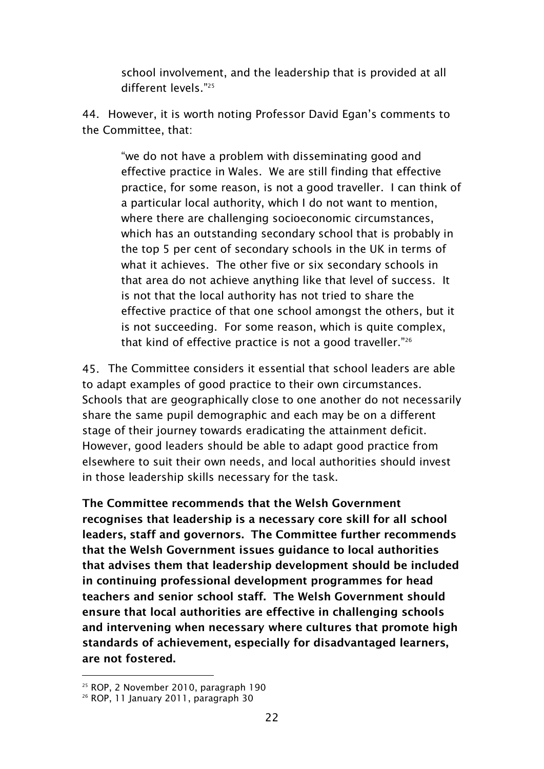school involvement, and the leadership that is provided at all different levels." 25

44. However, it is worth noting Professor David Egan"s comments to the Committee, that:

> "we do not have a problem with disseminating good and effective practice in Wales. We are still finding that effective practice, for some reason, is not a good traveller. I can think of a particular local authority, which I do not want to mention, where there are challenging socioeconomic circumstances, which has an outstanding secondary school that is probably in the top 5 per cent of secondary schools in the UK in terms of what it achieves. The other five or six secondary schools in that area do not achieve anything like that level of success. It is not that the local authority has not tried to share the effective practice of that one school amongst the others, but it is not succeeding. For some reason, which is quite complex, that kind of effective practice is not a good traveller."<sup>26</sup>

45. The Committee considers it essential that school leaders are able to adapt examples of good practice to their own circumstances. Schools that are geographically close to one another do not necessarily share the same pupil demographic and each may be on a different stage of their journey towards eradicating the attainment deficit. However, good leaders should be able to adapt good practice from elsewhere to suit their own needs, and local authorities should invest in those leadership skills necessary for the task.

**The Committee recommends that the Welsh Government recognises that leadership is a necessary core skill for all school leaders, staff and governors. The Committee further recommends that the Welsh Government issues guidance to local authorities that advises them that leadership development should be included in continuing professional development programmes for head teachers and senior school staff. The Welsh Government should ensure that local authorities are effective in challenging schools and intervening when necessary where cultures that promote high standards of achievement, especially for disadvantaged learners, are not fostered.**

<sup>25</sup> ROP, 2 November 2010, paragraph 190

<sup>&</sup>lt;sup>26</sup> ROP, 11 January 2011, paragraph 30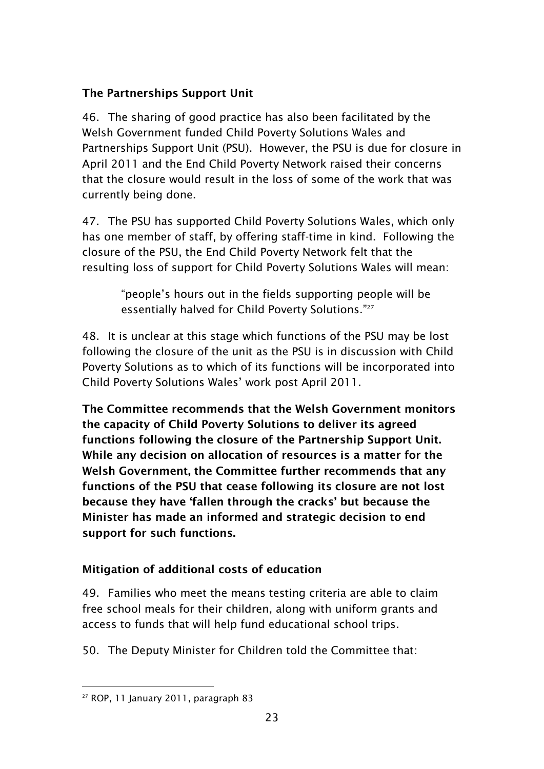### <span id="page-24-0"></span>**The Partnerships Support Unit**

46. The sharing of good practice has also been facilitated by the Welsh Government funded Child Poverty Solutions Wales and Partnerships Support Unit (PSU). However, the PSU is due for closure in April 2011 and the End Child Poverty Network raised their concerns that the closure would result in the loss of some of the work that was currently being done.

47. The PSU has supported Child Poverty Solutions Wales, which only has one member of staff, by offering staff-time in kind. Following the closure of the PSU, the End Child Poverty Network felt that the resulting loss of support for Child Poverty Solutions Wales will mean:

> "people"s hours out in the fields supporting people will be essentially halved for Child Poverty Solutions."<sup>27</sup>

48. It is unclear at this stage which functions of the PSU may be lost following the closure of the unit as the PSU is in discussion with Child Poverty Solutions as to which of its functions will be incorporated into Child Poverty Solutions Wales" work post April 2011.

**The Committee recommends that the Welsh Government monitors the capacity of Child Poverty Solutions to deliver its agreed functions following the closure of the Partnership Support Unit. While any decision on allocation of resources is a matter for the Welsh Government, the Committee further recommends that any functions of the PSU that cease following its closure are not lost because they have 'fallen through the cracks' but because the Minister has made an informed and strategic decision to end support for such functions.**

### <span id="page-24-1"></span>**Mitigation of additional costs of education**

49. Families who meet the means testing criteria are able to claim free school meals for their children, along with uniform grants and access to funds that will help fund educational school trips.

50. The Deputy Minister for Children told the Committee that:

<sup>-</sup><sup>27</sup> ROP, 11 January 2011, paragraph 83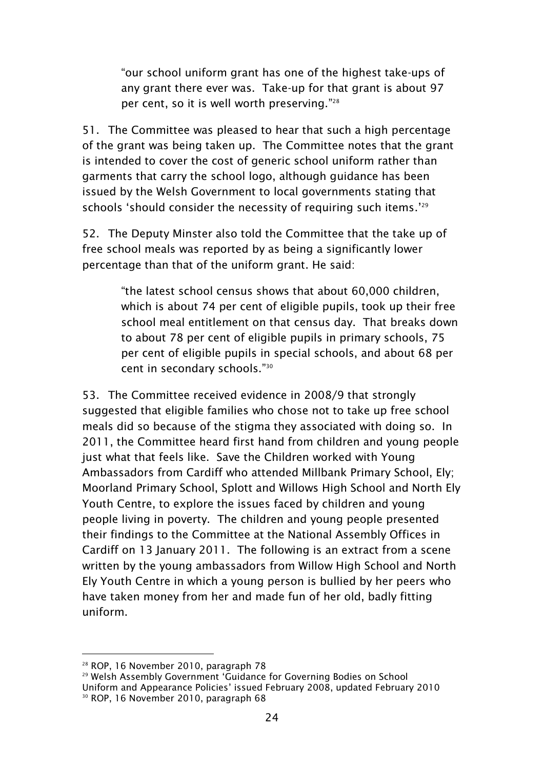"our school uniform grant has one of the highest take-ups of any grant there ever was. Take-up for that grant is about 97 per cent, so it is well worth preserving." 28

51. The Committee was pleased to hear that such a high percentage of the grant was being taken up. The Committee notes that the grant is intended to cover the cost of generic school uniform rather than garments that carry the school logo, although guidance has been issued by the Welsh Government to local governments stating that schools 'should consider the necessity of requiring such items.'<sup>29</sup>

52. The Deputy Minster also told the Committee that the take up of free school meals was reported by as being a significantly lower percentage than that of the uniform grant. He said:

> "the latest school census shows that about 60,000 children, which is about 74 per cent of eligible pupils, took up their free school meal entitlement on that census day. That breaks down to about 78 per cent of eligible pupils in primary schools, 75 per cent of eligible pupils in special schools, and about 68 per cent in secondary schools." 30

53. The Committee received evidence in 2008/9 that strongly suggested that eligible families who chose not to take up free school meals did so because of the stigma they associated with doing so. In 2011, the Committee heard first hand from children and young people just what that feels like. Save the Children worked with Young Ambassadors from Cardiff who attended Millbank Primary School, Ely; Moorland Primary School, Splott and Willows High School and North Ely Youth Centre, to explore the issues faced by children and young people living in poverty. The children and young people presented their findings to the Committee at the National Assembly Offices in Cardiff on 13 January 2011. The following is an extract from a scene written by the young ambassadors from Willow High School and North Ely Youth Centre in which a young person is bullied by her peers who have taken money from her and made fun of her old, badly fitting uniform.

<sup>28</sup> ROP, 16 November 2010, paragraph 78

<sup>&</sup>lt;sup>29</sup> Welsh Assembly Government 'Guidance for Governing Bodies on School Uniform and Appearance Policies" issued February 2008, updated February 2010 <sup>30</sup> ROP, 16 November 2010, paragraph 68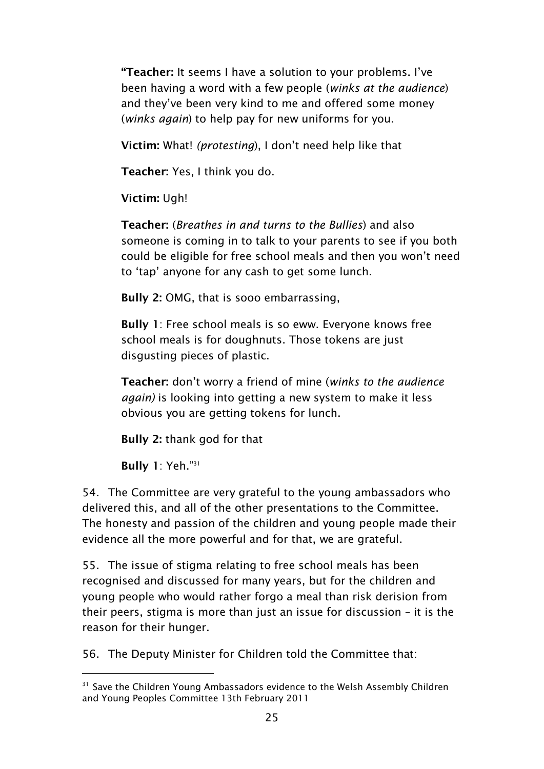**"Teacher:** It seems I have a solution to your problems. I"ve been having a word with a few people (*winks at the audience*) and they've been very kind to me and offered some money (*winks again*) to help pay for new uniforms for you.

**Victim:** What! *(protesting*), I don"t need help like that

**Teacher:** Yes, I think you do.

**Victim:** Ugh!

**Teacher:** (*Breathes in and turns to the Bullies*) and also someone is coming in to talk to your parents to see if you both could be eligible for free school meals and then you won"t need to "tap" anyone for any cash to get some lunch.

**Bully 2:** OMG, that is sooo embarrassing,

**Bully 1**: Free school meals is so eww. Everyone knows free school meals is for doughnuts. Those tokens are just disgusting pieces of plastic.

**Teacher:** don"t worry a friend of mine (*winks to the audience again)* is looking into getting a new system to make it less obvious you are getting tokens for lunch.

**Bully 2:** thank god for that

**Bully 1**: Yeh." 31

-

54. The Committee are very grateful to the young ambassadors who delivered this, and all of the other presentations to the Committee. The honesty and passion of the children and young people made their evidence all the more powerful and for that, we are grateful.

55. The issue of stigma relating to free school meals has been recognised and discussed for many years, but for the children and young people who would rather forgo a meal than risk derision from their peers, stigma is more than just an issue for discussion – it is the reason for their hunger.

56. The Deputy Minister for Children told the Committee that:

<sup>&</sup>lt;sup>31</sup> Save the Children Young Ambassadors evidence to the Welsh Assembly Children and Young Peoples Committee 13th February 2011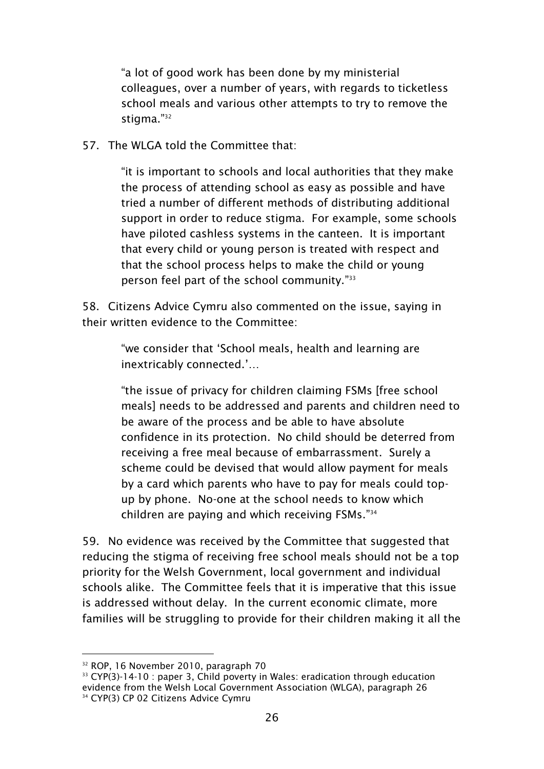"a lot of good work has been done by my ministerial colleagues, over a number of years, with regards to ticketless school meals and various other attempts to try to remove the stigma."<sup>32</sup>

57. The WLGA told the Committee that:

"it is important to schools and local authorities that they make the process of attending school as easy as possible and have tried a number of different methods of distributing additional support in order to reduce stigma. For example, some schools have piloted cashless systems in the canteen. It is important that every child or young person is treated with respect and that the school process helps to make the child or young person feel part of the school community." 33

58. Citizens Advice Cymru also commented on the issue, saying in their written evidence to the Committee:

> "we consider that "School meals, health and learning are inextricably connected."…

"the issue of privacy for children claiming FSMs [free school meals] needs to be addressed and parents and children need to be aware of the process and be able to have absolute confidence in its protection. No child should be deterred from receiving a free meal because of embarrassment. Surely a scheme could be devised that would allow payment for meals by a card which parents who have to pay for meals could topup by phone. No-one at the school needs to know which children are paying and which receiving FSMs." 34

59. No evidence was received by the Committee that suggested that reducing the stigma of receiving free school meals should not be a top priority for the Welsh Government, local government and individual schools alike. The Committee feels that it is imperative that this issue is addressed without delay. In the current economic climate, more families will be struggling to provide for their children making it all the

<sup>-</sup><sup>32</sup> ROP, 16 November 2010, paragraph 70

 $33$  CYP(3)-14-10 : paper 3, Child poverty in Wales: eradication through education evidence from the Welsh Local Government Association (WLGA), paragraph 26 <sup>34</sup> CYP(3) CP 02 Citizens Advice Cymru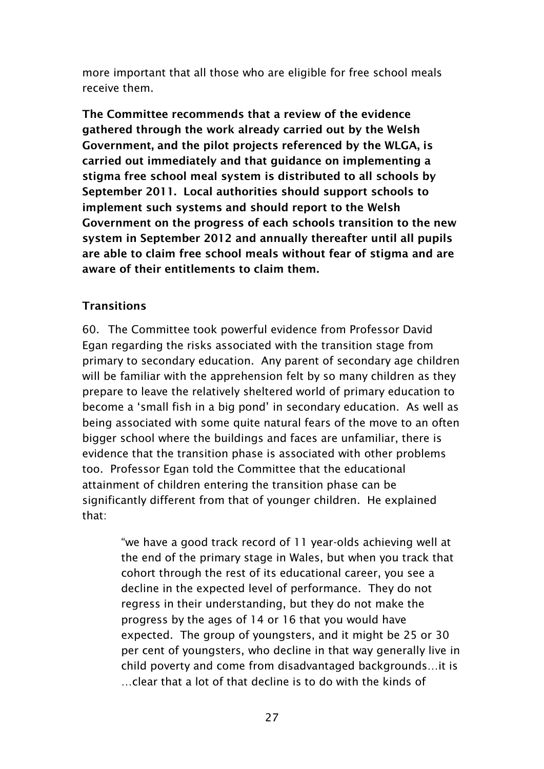more important that all those who are eligible for free school meals receive them.

**The Committee recommends that a review of the evidence gathered through the work already carried out by the Welsh Government, and the pilot projects referenced by the WLGA, is carried out immediately and that guidance on implementing a stigma free school meal system is distributed to all schools by September 2011. Local authorities should support schools to implement such systems and should report to the Welsh Government on the progress of each schools transition to the new system in September 2012 and annually thereafter until all pupils are able to claim free school meals without fear of stigma and are aware of their entitlements to claim them.**

#### <span id="page-28-0"></span>**Transitions**

60. The Committee took powerful evidence from Professor David Egan regarding the risks associated with the transition stage from primary to secondary education. Any parent of secondary age children will be familiar with the apprehension felt by so many children as they prepare to leave the relatively sheltered world of primary education to become a "small fish in a big pond" in secondary education. As well as being associated with some quite natural fears of the move to an often bigger school where the buildings and faces are unfamiliar, there is evidence that the transition phase is associated with other problems too. Professor Egan told the Committee that the educational attainment of children entering the transition phase can be significantly different from that of younger children. He explained that:

> "we have a good track record of 11 year-olds achieving well at the end of the primary stage in Wales, but when you track that cohort through the rest of its educational career, you see a decline in the expected level of performance. They do not regress in their understanding, but they do not make the progress by the ages of 14 or 16 that you would have expected. The group of youngsters, and it might be 25 or 30 per cent of youngsters, who decline in that way generally live in child poverty and come from disadvantaged backgrounds…it is …clear that a lot of that decline is to do with the kinds of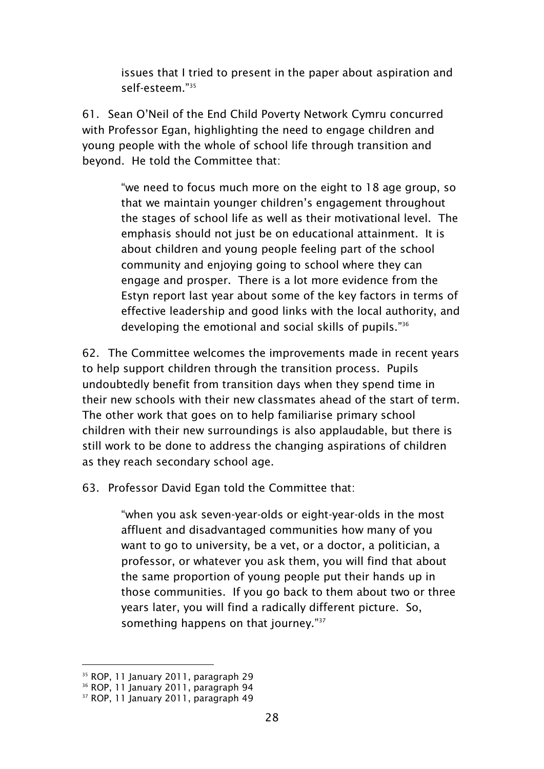issues that I tried to present in the paper about aspiration and self-esteem<sup>"35</sup>

61. Sean O"Neil of the End Child Poverty Network Cymru concurred with Professor Egan, highlighting the need to engage children and young people with the whole of school life through transition and beyond. He told the Committee that:

> "we need to focus much more on the eight to 18 age group, so that we maintain younger children"s engagement throughout the stages of school life as well as their motivational level. The emphasis should not just be on educational attainment. It is about children and young people feeling part of the school community and enjoying going to school where they can engage and prosper. There is a lot more evidence from the Estyn report last year about some of the key factors in terms of effective leadership and good links with the local authority, and developing the emotional and social skills of pupils." 36

62. The Committee welcomes the improvements made in recent years to help support children through the transition process. Pupils undoubtedly benefit from transition days when they spend time in their new schools with their new classmates ahead of the start of term. The other work that goes on to help familiarise primary school children with their new surroundings is also applaudable, but there is still work to be done to address the changing aspirations of children as they reach secondary school age.

63. Professor David Egan told the Committee that:

"when you ask seven-year-olds or eight-year-olds in the most affluent and disadvantaged communities how many of you want to go to university, be a vet, or a doctor, a politician, a professor, or whatever you ask them, you will find that about the same proportion of young people put their hands up in those communities. If you go back to them about two or three years later, you will find a radically different picture. So, something happens on that journey."<sup>37</sup>

<sup>&</sup>lt;sup>35</sup> ROP, 11 January 2011, paragraph 29

<sup>36</sup> ROP, 11 January 2011, paragraph 94

<sup>&</sup>lt;sup>37</sup> ROP, 11 January 2011, paragraph 49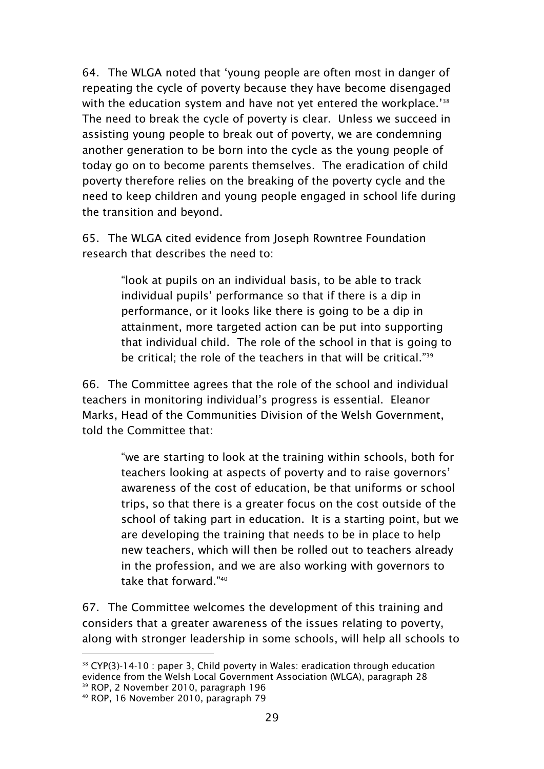64. The WLGA noted that "young people are often most in danger of repeating the cycle of poverty because they have become disengaged with the education system and have not yet entered the workplace." $38$ The need to break the cycle of poverty is clear. Unless we succeed in assisting young people to break out of poverty, we are condemning another generation to be born into the cycle as the young people of today go on to become parents themselves. The eradication of child poverty therefore relies on the breaking of the poverty cycle and the need to keep children and young people engaged in school life during the transition and beyond.

65. The WLGA cited evidence from Joseph Rowntree Foundation research that describes the need to:

> "look at pupils on an individual basis, to be able to track individual pupils" performance so that if there is a dip in performance, or it looks like there is going to be a dip in attainment, more targeted action can be put into supporting that individual child. The role of the school in that is going to be critical; the role of the teachers in that will be critical."<sup>39</sup>

66. The Committee agrees that the role of the school and individual teachers in monitoring individual"s progress is essential. Eleanor Marks, Head of the Communities Division of the Welsh Government, told the Committee that:

> "we are starting to look at the training within schools, both for teachers looking at aspects of poverty and to raise governors" awareness of the cost of education, be that uniforms or school trips, so that there is a greater focus on the cost outside of the school of taking part in education. It is a starting point, but we are developing the training that needs to be in place to help new teachers, which will then be rolled out to teachers already in the profession, and we are also working with governors to take that forward." 40

67. The Committee welcomes the development of this training and considers that a greater awareness of the issues relating to poverty, along with stronger leadership in some schools, will help all schools to

<sup>-</sup> $38$  CYP(3)-14-10 : paper 3, Child poverty in Wales: eradication through education evidence from the Welsh Local Government Association (WLGA), paragraph 28 <sup>39</sup> ROP, 2 November 2010, paragraph 196

<sup>40</sup> ROP, 16 November 2010, paragraph 79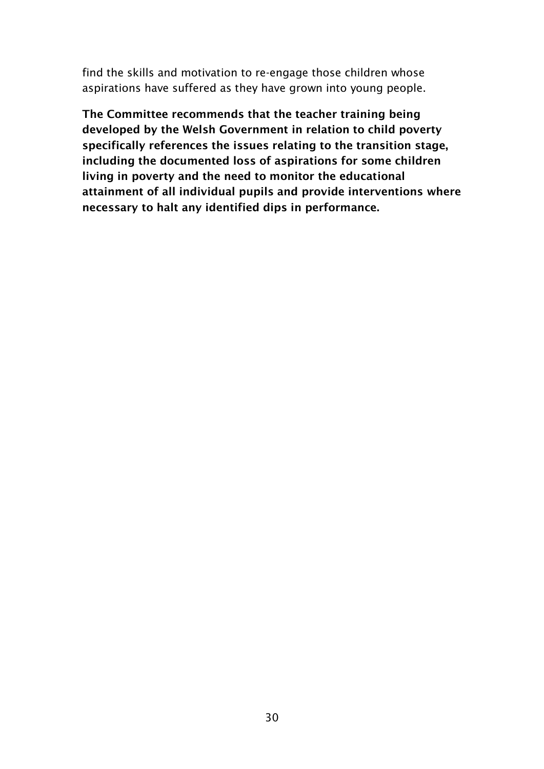find the skills and motivation to re-engage those children whose aspirations have suffered as they have grown into young people.

<span id="page-31-0"></span>**The Committee recommends that the teacher training being developed by the Welsh Government in relation to child poverty specifically references the issues relating to the transition stage, including the documented loss of aspirations for some children living in poverty and the need to monitor the educational attainment of all individual pupils and provide interventions where necessary to halt any identified dips in performance.**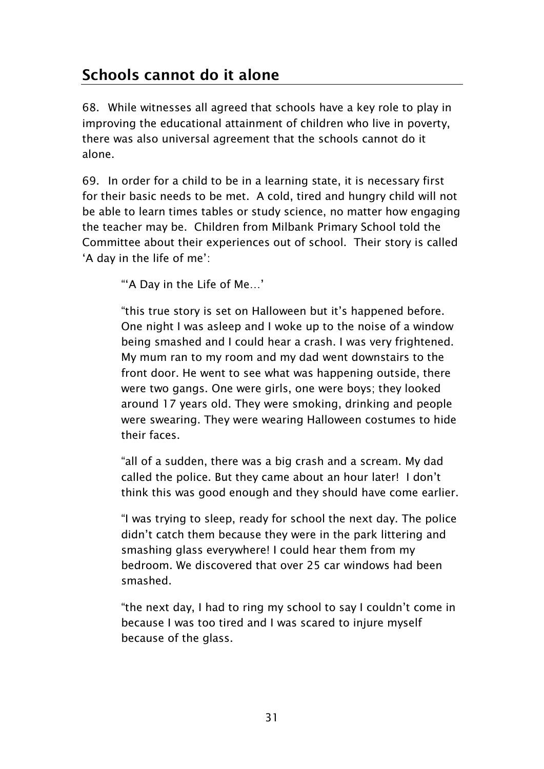# **Schools cannot do it alone**

68. While witnesses all agreed that schools have a key role to play in improving the educational attainment of children who live in poverty, there was also universal agreement that the schools cannot do it alone.

69. In order for a child to be in a learning state, it is necessary first for their basic needs to be met. A cold, tired and hungry child will not be able to learn times tables or study science, no matter how engaging the teacher may be. Children from Milbank Primary School told the Committee about their experiences out of school. Their story is called 'A day in the life of me':

""A Day in the Life of Me…"

"this true story is set on Halloween but it"s happened before. One night I was asleep and I woke up to the noise of a window being smashed and I could hear a crash. I was very frightened. My mum ran to my room and my dad went downstairs to the front door. He went to see what was happening outside, there were two gangs. One were girls, one were boys; they looked around 17 years old. They were smoking, drinking and people were swearing. They were wearing Halloween costumes to hide their faces.

"all of a sudden, there was a big crash and a scream. My dad called the police. But they came about an hour later! I don"t think this was good enough and they should have come earlier.

"I was trying to sleep, ready for school the next day. The police didn"t catch them because they were in the park littering and smashing glass everywhere! I could hear them from my bedroom. We discovered that over 25 car windows had been smashed.

"the next day, I had to ring my school to say I couldn"t come in because I was too tired and I was scared to injure myself because of the glass.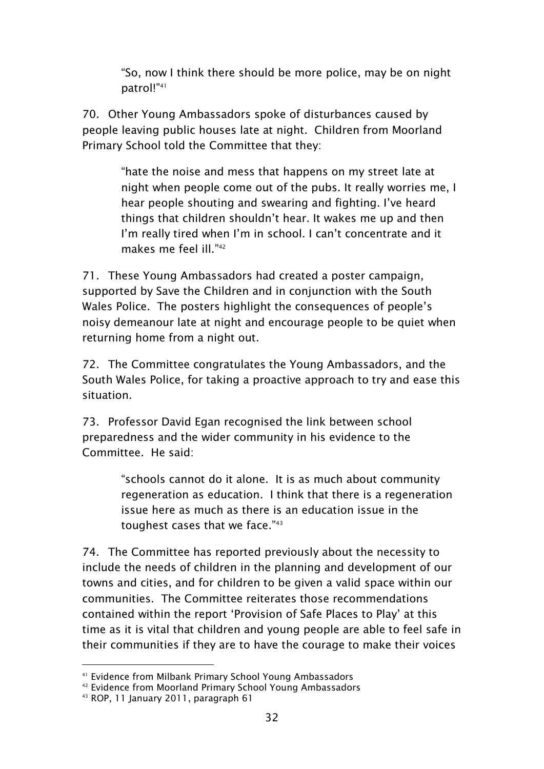"So, now I think there should be more police, may be on night patrol!"<sup>41</sup>

70. Other Young Ambassadors spoke of disturbances caused by people leaving public houses late at night. Children from Moorland Primary School told the Committee that they:

> "hate the noise and mess that happens on my street late at night when people come out of the pubs. It really worries me, I hear people shouting and swearing and fighting. I've heard things that children shouldn"t hear. It wakes me up and then I'm really tired when I'm in school. I can't concentrate and it makes me feel ill." 42

71. These Young Ambassadors had created a poster campaign, supported by Save the Children and in conjunction with the South Wales Police. The posters highlight the consequences of people"s noisy demeanour late at night and encourage people to be quiet when returning home from a night out.

72. The Committee congratulates the Young Ambassadors, and the South Wales Police, for taking a proactive approach to try and ease this situation.

73. Professor David Egan recognised the link between school preparedness and the wider community in his evidence to the Committee. He said:

> "schools cannot do it alone. It is as much about community regeneration as education. I think that there is a regeneration issue here as much as there is an education issue in the toughest cases that we face."<sup>43</sup>

74. The Committee has reported previously about the necessity to include the needs of children in the planning and development of our towns and cities, and for children to be given a valid space within our communities. The Committee reiterates those recommendations contained within the report "Provision of Safe Places to Play" at this time as it is vital that children and young people are able to feel safe in their communities if they are to have the courage to make their voices

<sup>41</sup> Evidence from Milbank Primary School Young Ambassadors

<sup>42</sup> Evidence from Moorland Primary School Young Ambassadors

<sup>43</sup> ROP, 11 January 2011, paragraph 61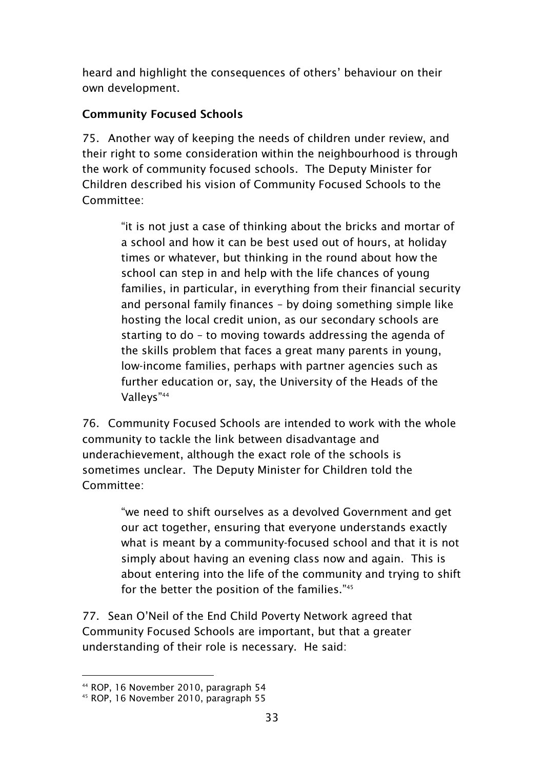heard and highlight the consequences of others' behaviour on their own development.

### <span id="page-34-0"></span>**Community Focused Schools**

75. Another way of keeping the needs of children under review, and their right to some consideration within the neighbourhood is through the work of community focused schools. The Deputy Minister for Children described his vision of Community Focused Schools to the Committee:

> "it is not just a case of thinking about the bricks and mortar of a school and how it can be best used out of hours, at holiday times or whatever, but thinking in the round about how the school can step in and help with the life chances of young families, in particular, in everything from their financial security and personal family finances – by doing something simple like hosting the local credit union, as our secondary schools are starting to do – to moving towards addressing the agenda of the skills problem that faces a great many parents in young, low-income families, perhaps with partner agencies such as further education or, say, the University of the Heads of the Valleys"<sup>44</sup>

76. Community Focused Schools are intended to work with the whole community to tackle the link between disadvantage and underachievement, although the exact role of the schools is sometimes unclear. The Deputy Minister for Children told the Committee:

> "we need to shift ourselves as a devolved Government and get our act together, ensuring that everyone understands exactly what is meant by a community-focused school and that it is not simply about having an evening class now and again. This is about entering into the life of the community and trying to shift for the better the position of the families."45

77. Sean O"Neil of the End Child Poverty Network agreed that Community Focused Schools are important, but that a greater understanding of their role is necessary. He said:

<sup>44</sup> ROP, 16 November 2010, paragraph 54

<sup>45</sup> ROP, 16 November 2010, paragraph 55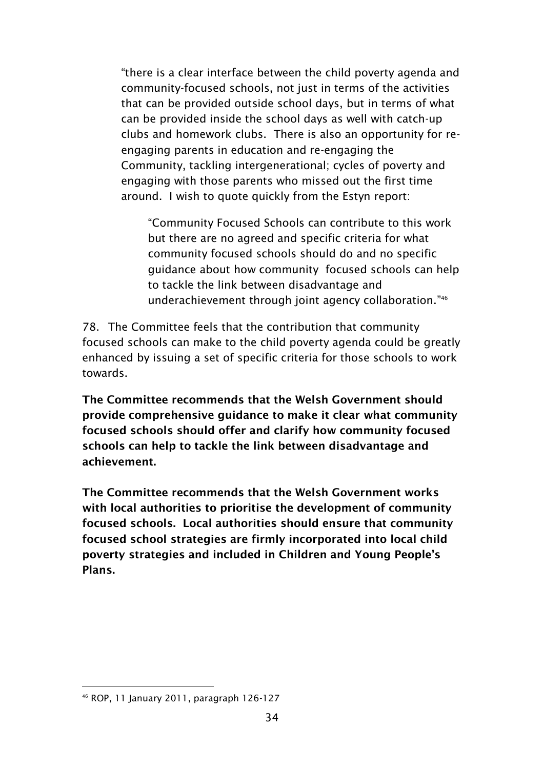"there is a clear interface between the child poverty agenda and community-focused schools, not just in terms of the activities that can be provided outside school days, but in terms of what can be provided inside the school days as well with catch-up clubs and homework clubs. There is also an opportunity for reengaging parents in education and re-engaging the Community, tackling intergenerational; cycles of poverty and engaging with those parents who missed out the first time around. I wish to quote quickly from the Estyn report:

"Community Focused Schools can contribute to this work but there are no agreed and specific criteria for what community focused schools should do and no specific guidance about how community focused schools can help to tackle the link between disadvantage and underachievement through joint agency collaboration." 46

78. The Committee feels that the contribution that community focused schools can make to the child poverty agenda could be greatly enhanced by issuing a set of specific criteria for those schools to work towards.

**The Committee recommends that the Welsh Government should provide comprehensive guidance to make it clear what community focused schools should offer and clarify how community focused schools can help to tackle the link between disadvantage and achievement.**

**The Committee recommends that the Welsh Government works with local authorities to prioritise the development of community focused schools. Local authorities should ensure that community focused school strategies are firmly incorporated into local child poverty strategies and included in Children and Young People's Plans.** 

<sup>-</sup><sup>46</sup> ROP, 11 January 2011, paragraph 126-127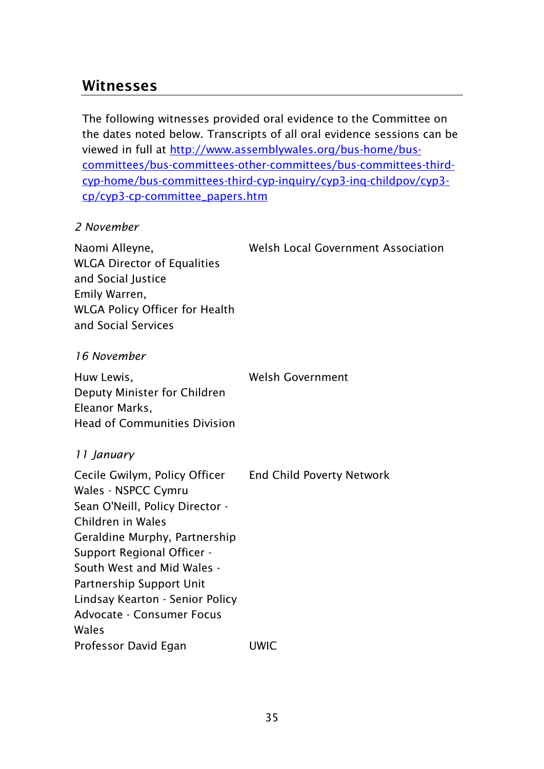## <span id="page-36-0"></span>**Witnesses**

The following witnesses provided oral evidence to the Committee on the dates noted below. Transcripts of all oral evidence sessions can be viewed in full at [http://www.assemblywales.org/bus-home/bus](http://www.assemblywales.org/bus-home/bus-committees/bus-committees-other-committees/bus-committees-third-cyp-home/bus-committees-third-cyp-inquiry/cyp3-inq-childpov/cyp3-cp/cyp3-cp-committee_papers.htm)[committees/bus-committees-other-committees/bus-committees-third](http://www.assemblywales.org/bus-home/bus-committees/bus-committees-other-committees/bus-committees-third-cyp-home/bus-committees-third-cyp-inquiry/cyp3-inq-childpov/cyp3-cp/cyp3-cp-committee_papers.htm)[cyp-home/bus-committees-third-cyp-inquiry/cyp3-inq-childpov/cyp3](http://www.assemblywales.org/bus-home/bus-committees/bus-committees-other-committees/bus-committees-third-cyp-home/bus-committees-third-cyp-inquiry/cyp3-inq-childpov/cyp3-cp/cyp3-cp-committee_papers.htm) [cp/cyp3-cp-committee\\_papers.htm](http://www.assemblywales.org/bus-home/bus-committees/bus-committees-other-committees/bus-committees-third-cyp-home/bus-committees-third-cyp-inquiry/cyp3-inq-childpov/cyp3-cp/cyp3-cp-committee_papers.htm)

#### *2 November*

Naomi Alleyne, WLGA Director of Equalities and Social Justice Emily Warren, WLGA Policy Officer for Health and Social Services Welsh Local Government Association

#### *16 November*

Huw Lewis, Deputy Minister for Children Eleanor Marks, Head of Communities Division Welsh Government

#### *11 January*

Cecile Gwilym, Policy Officer Wales - NSPCC Cymru Sean O'Neill, Policy Director - Children in Wales Geraldine Murphy, Partnership Support Regional Officer - South West and Mid Wales - Partnership Support Unit Lindsay Kearton - Senior Policy Advocate - Consumer Focus Wales End Child Poverty Network Professor David Egan UWIC